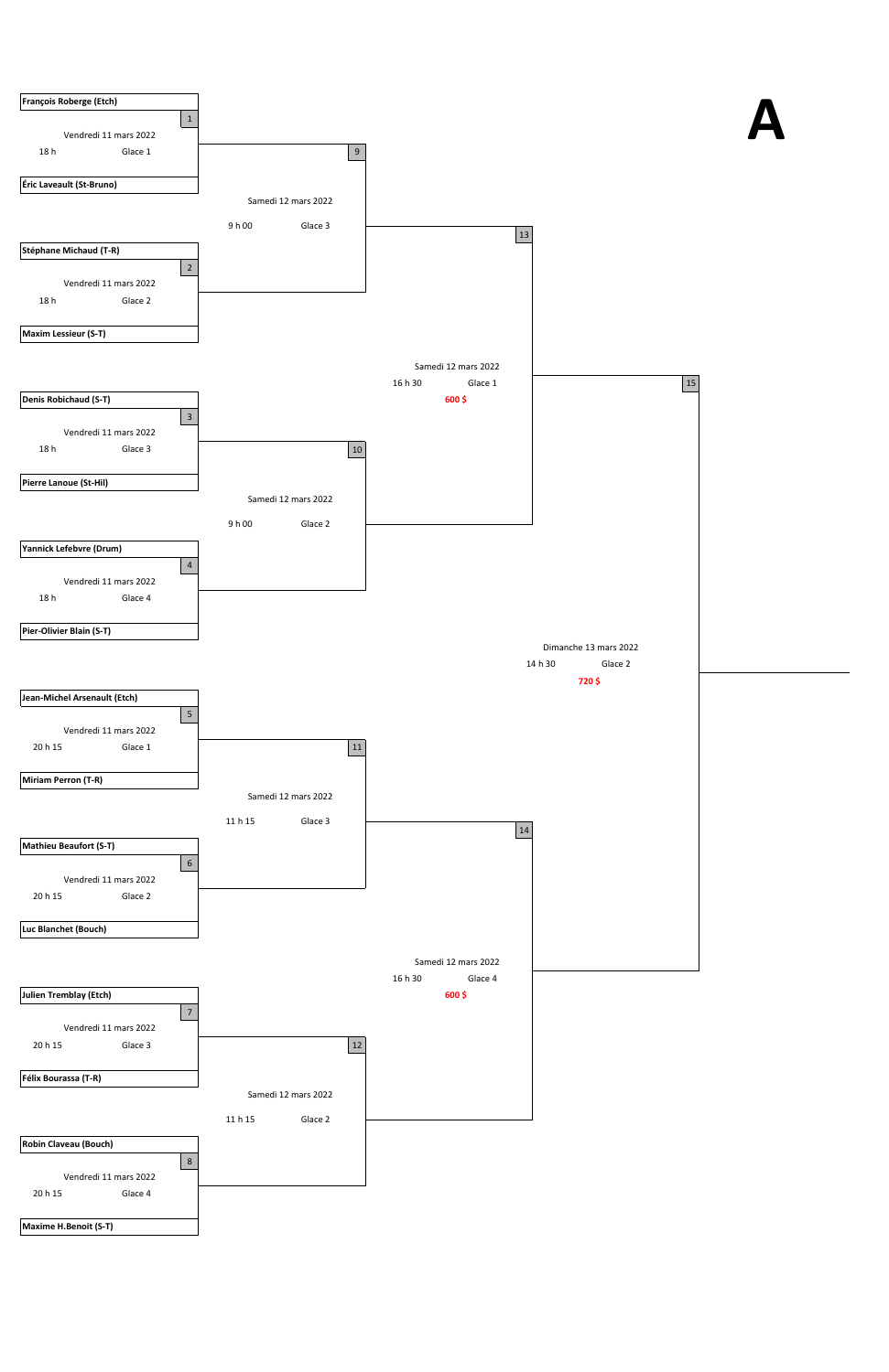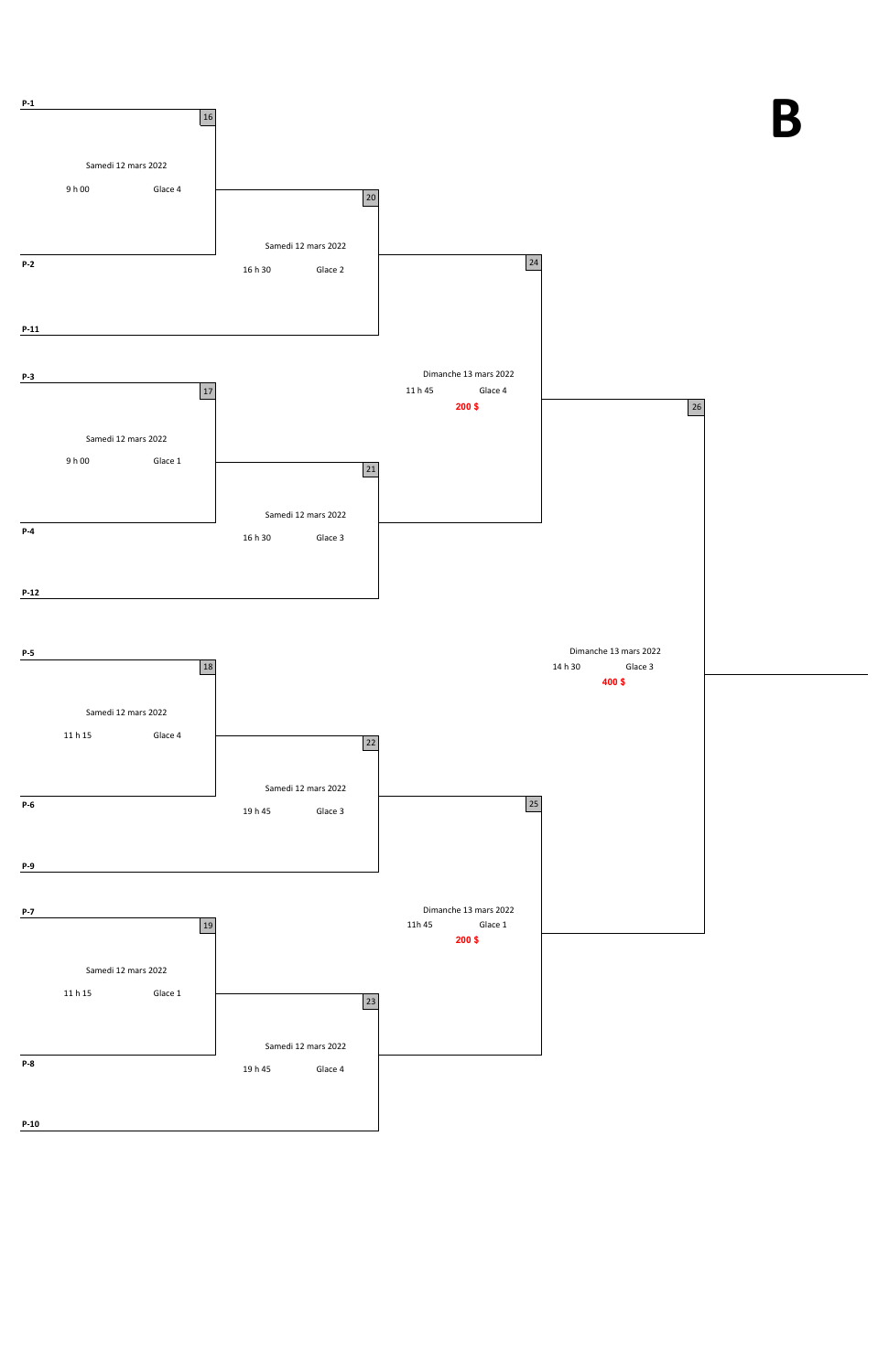